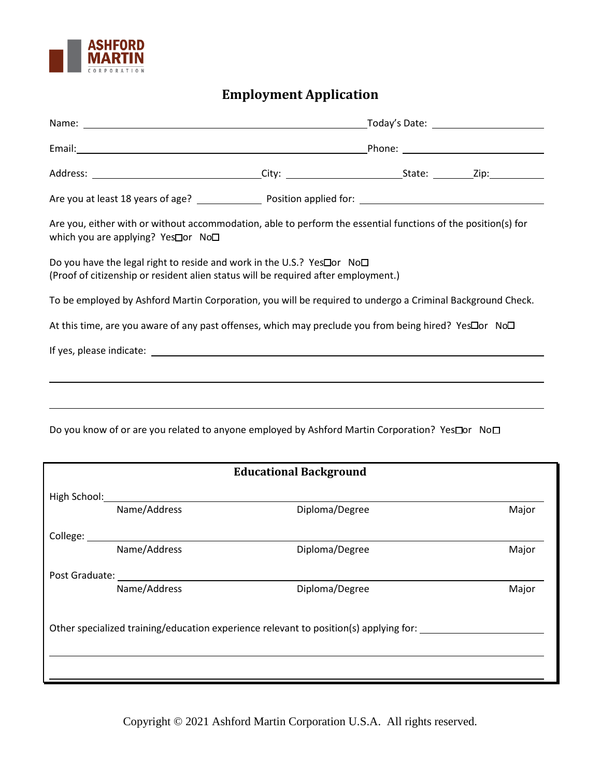

## **Employment Application**

| Are you, either with or without accommodation, able to perform the essential functions of the position(s) for<br>which you are applying? Yes□or No□           |              |                |  |       |  |
|---------------------------------------------------------------------------------------------------------------------------------------------------------------|--------------|----------------|--|-------|--|
| Do you have the legal right to reside and work in the U.S.? Yes□ or No□<br>(Proof of citizenship or resident alien status will be required after employment.) |              |                |  |       |  |
| To be employed by Ashford Martin Corporation, you will be required to undergo a Criminal Background Check.                                                    |              |                |  |       |  |
| At this time, are you aware of any past offenses, which may preclude you from being hired? YesDor NoD                                                         |              |                |  |       |  |
|                                                                                                                                                               |              |                |  |       |  |
|                                                                                                                                                               |              |                |  |       |  |
|                                                                                                                                                               |              |                |  |       |  |
| Do you know of or are you related to anyone employed by Ashford Martin Corporation? Yes□or No□                                                                |              |                |  |       |  |
| <b>Educational Background</b>                                                                                                                                 |              |                |  |       |  |
| High School: Management                                                                                                                                       |              |                |  |       |  |
|                                                                                                                                                               | Name/Address | Diploma/Degree |  | Major |  |

College: Name/Address **Name/Address** Diploma/Degree Major Post Graduate: Name/Address **Name/Address** Diploma/Degree Major Other specialized training/education experience relevant to position(s) applying for:

Copyright © 2021 Ashford Martin Corporation U.S.A. All rights reserved.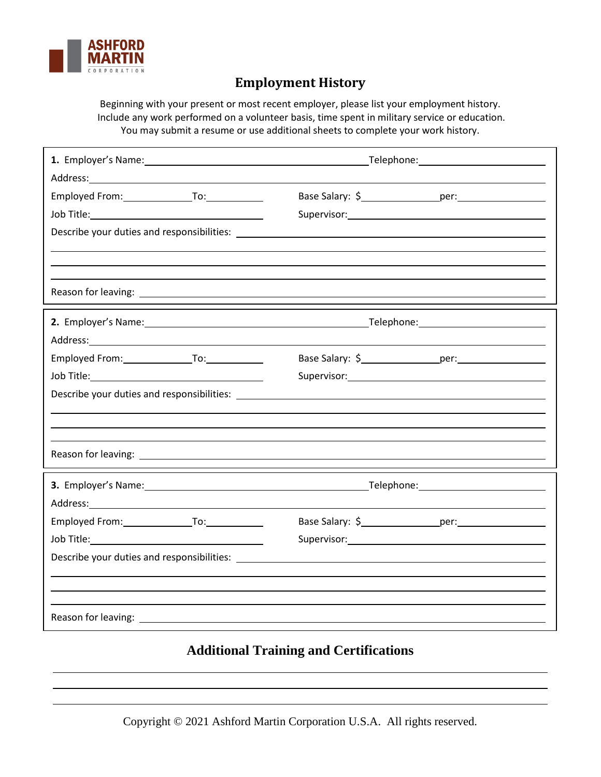

l,

## **Employment History**

Beginning with your present or most recent employer, please list your employment history. Include any work performed on a volunteer basis, time spent in military service or education. You may submit a resume or use additional sheets to complete your work history.

| Address: Andreas Address: Address: Address: Address: Address: Address: Address: Address: Address: Address: Address: Address: Address: Address: Address: Address: Address: Address: Address: Address: Address: Address: Address |                                                                                                                                                                                                                                |  |  |
|--------------------------------------------------------------------------------------------------------------------------------------------------------------------------------------------------------------------------------|--------------------------------------------------------------------------------------------------------------------------------------------------------------------------------------------------------------------------------|--|--|
| Employed From: To: To:                                                                                                                                                                                                         |                                                                                                                                                                                                                                |  |  |
|                                                                                                                                                                                                                                | Supervisor: Note and the supervisor of the supervisor of the supervisor of the supervisor of the supervisor of                                                                                                                 |  |  |
|                                                                                                                                                                                                                                |                                                                                                                                                                                                                                |  |  |
|                                                                                                                                                                                                                                |                                                                                                                                                                                                                                |  |  |
|                                                                                                                                                                                                                                |                                                                                                                                                                                                                                |  |  |
|                                                                                                                                                                                                                                |                                                                                                                                                                                                                                |  |  |
|                                                                                                                                                                                                                                |                                                                                                                                                                                                                                |  |  |
| Address: Address: Address: Address: Address: Address: Address: Address: Address: Address: Address: A                                                                                                                           |                                                                                                                                                                                                                                |  |  |
|                                                                                                                                                                                                                                |                                                                                                                                                                                                                                |  |  |
|                                                                                                                                                                                                                                | Supervisor: Note and the set of the set of the set of the set of the set of the set of the set of the set of the set of the set of the set of the set of the set of the set of the set of the set of the set of the set of the |  |  |
|                                                                                                                                                                                                                                |                                                                                                                                                                                                                                |  |  |
|                                                                                                                                                                                                                                |                                                                                                                                                                                                                                |  |  |
|                                                                                                                                                                                                                                |                                                                                                                                                                                                                                |  |  |
|                                                                                                                                                                                                                                |                                                                                                                                                                                                                                |  |  |

## **Additional Training and Certifications**

Copyright © 2021 Ashford Martin Corporation U.S.A. All rights reserved.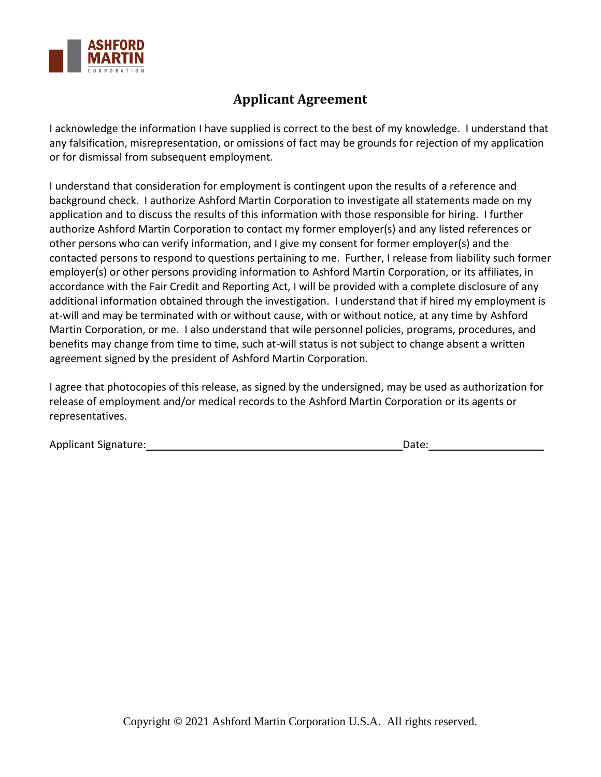

## **Applicant Agreement**

I acknowledge the information I have supplied is correct to the best of my knowledge. I understand that any falsification, misrepresentation, or omissions of fact may be grounds for rejection of my application or for dismissal from subsequent employment.

I understand that consideration for employment is contingent upon the results of a reference and background check. I authorize Ashford Martin Corporation to investigate all statements made on my application and to discuss the results of this information with those responsible for hiring. I further authorize Ashford Martin Corporation to contact my former employer(s) and any listed references or other persons who can verify information, and I give my consent for former employer(s) and the contacted persons to respond to questions pertaining to me. Further, I release from liability such former employer(s) or other persons providing information to Ashford Martin Corporation, or its affiliates, in accordance with the Fair Credit and Reporting Act, I will be provided with a complete disclosure of any additional information obtained through the investigation. I understand that if hired my employment is at-will and may be terminated with or without cause, with or without notice, at any time by Ashford Martin Corporation, or me. I also understand that wile personnel policies, programs, procedures, and benefits may change from time to time, such at-will status is not subject to change absent a written agreement signed by the president of Ashford Martin Corporation.

I agree that photocopies of this release, as signed by the undersigned, may be used as authorization for release of employment and/or medical records to the Ashford Martin Corporation or its agents or representatives.

| Applicant Signature: | Date: |
|----------------------|-------|
|----------------------|-------|